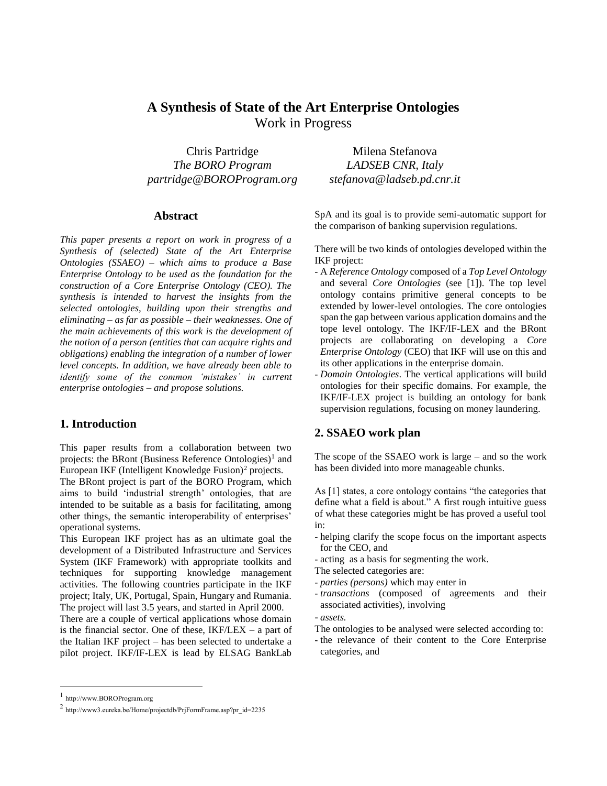# **A Synthesis of State of the Art Enterprise Ontologies** Work in Progress

Chris Partridge Milena Stefanova *The BORO Program LADSEB CNR, Italy partridge@BOROProgram.org stefanova@ladseb.pd.cnr.it*

#### **Abstract**

*This paper presents a report on work in progress of a Synthesis of (selected) State of the Art Enterprise Ontologies (SSAEO) – which aims to produce a Base Enterprise Ontology to be used as the foundation for the construction of a Core Enterprise Ontology (CEO). The synthesis is intended to harvest the insights from the selected ontologies, building upon their strengths and eliminating – as far as possible – their weaknesses. One of the main achievements of this work is the development of the notion of a person (entities that can acquire rights and obligations) enabling the integration of a number of lower level concepts. In addition, we have already been able to identify some of the common 'mistakes' in current enterprise ontologies – and propose solutions.*

#### **1. Introduction**

This paper results from a collaboration between two projects: the BRont (Business Reference Ontologies)<sup>1</sup> and European IKF (Intelligent Knowledge Fusion)<sup>2</sup> projects.

The BRont project is part of the BORO Program, which aims to build 'industrial strength' ontologies, that are intended to be suitable as a basis for facilitating, among other things, the semantic interoperability of enterprises' operational systems.

This European IKF project has as an ultimate goal the development of a Distributed Infrastructure and Services System (IKF Framework) with appropriate toolkits and techniques for supporting knowledge management activities. The following countries participate in the IKF project; Italy, UK, Portugal, Spain, Hungary and Rumania. The project will last 3.5 years, and started in April 2000.

There are a couple of vertical applications whose domain is the financial sector. One of these,  $IKF/LEX - a$  part of the Italian IKF project – has been selected to undertake a pilot project. IKF/IF-LEX is lead by ELSAG BankLab

SpA and its goal is to provide semi-automatic support for the comparison of banking supervision regulations.

There will be two kinds of ontologies developed within the IKF project:

- A *Reference Ontology* composed of a *Top Level Ontology* and several *Core Ontologies* (see [1]). The top level ontology contains primitive general concepts to be extended by lower-level ontologies. The core ontologies span the gap between various application domains and the tope level ontology. The IKF/IF-LEX and the BRont projects are collaborating on developing a *Core Enterprise Ontology* (CEO) that IKF will use on this and its other applications in the enterprise domain.
- *Domain Ontologies*. The vertical applications will build ontologies for their specific domains. For example, the IKF/IF-LEX project is building an ontology for bank supervision regulations, focusing on money laundering.

# **2. SSAEO work plan**

The scope of the SSAEO work is large – and so the work has been divided into more manageable chunks.

As [1] states, a core ontology contains "the categories that define what a field is about." A first rough intuitive guess of what these categories might be has proved a useful tool in:

- helping clarify the scope focus on the important aspects for the CEO, and
- acting as a basis for segmenting the work.
- The selected categories are:
- *parties (persons)* which may enter in
- *transactions* (composed of agreements and their associated activities), involving

- The ontologies to be analysed were selected according to:
- the relevance of their content to the Core Enterprise categories, and

 $\overline{a}$ 

<sup>-</sup> *assets.*

<sup>1</sup> http://www.BOROProgram.org

<sup>2</sup> http://www3.eureka.be/Home/projectdb/PrjFormFrame.asp?pr\_id=2235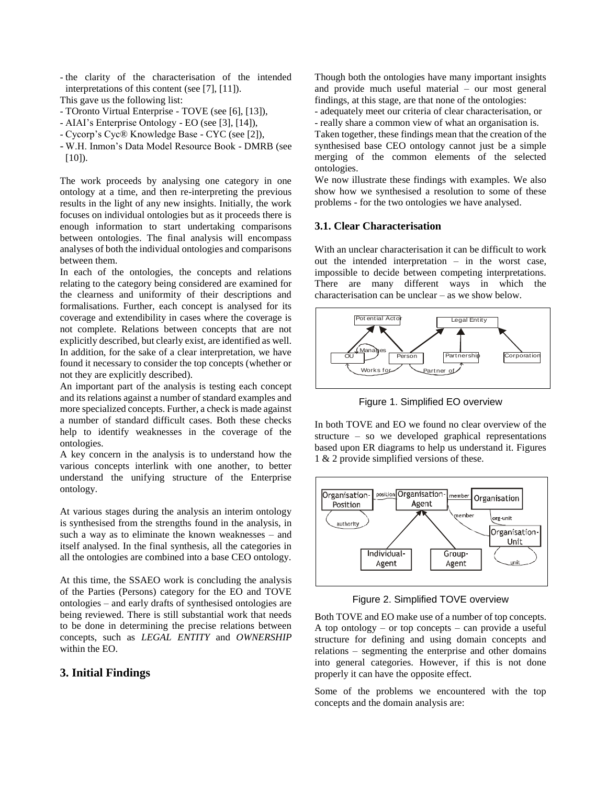- the clarity of the characterisation of the intended interpretations of this content (see [7], [11]).
- This gave us the following list:
- TOronto Virtual Enterprise TOVE (see [6], [13]),
- AIAI's Enterprise Ontology EO (see [3], [14]),
- Cycorp's Cyc® Knowledge Base CYC (see [2]),
- W.H. Inmon's Data Model Resource Book DMRB (see  $[10]$ ).

The work proceeds by analysing one category in one ontology at a time, and then re-interpreting the previous results in the light of any new insights. Initially, the work focuses on individual ontologies but as it proceeds there is enough information to start undertaking comparisons between ontologies. The final analysis will encompass analyses of both the individual ontologies and comparisons between them.

In each of the ontologies, the concepts and relations relating to the category being considered are examined for the clearness and uniformity of their descriptions and formalisations. Further, each concept is analysed for its coverage and extendibility in cases where the coverage is not complete. Relations between concepts that are not explicitly described, but clearly exist, are identified as well. In addition, for the sake of a clear interpretation, we have found it necessary to consider the top concepts (whether or not they are explicitly described).

An important part of the analysis is testing each concept and its relations against a number of standard examples and more specialized concepts. Further, a check is made against a number of standard difficult cases. Both these checks help to identify weaknesses in the coverage of the ontologies.

A key concern in the analysis is to understand how the various concepts interlink with one another, to better understand the unifying structure of the Enterprise ontology.

At various stages during the analysis an interim ontology is synthesised from the strengths found in the analysis, in such a way as to eliminate the known weaknesses – and itself analysed. In the final synthesis, all the categories in all the ontologies are combined into a base CEO ontology.

At this time, the SSAEO work is concluding the analysis of the Parties (Persons) category for the EO and TOVE ontologies – and early drafts of synthesised ontologies are being reviewed. There is still substantial work that needs to be done in determining the precise relations between concepts, such as *LEGAL ENTITY* and *OWNERSHIP* within the EO.

## **3. Initial Findings**

Though both the ontologies have many important insights and provide much useful material – our most general findings, at this stage, are that none of the ontologies:

- adequately meet our criteria of clear characterisation, or - really share a common view of what an organisation is.

Taken together, these findings mean that the creation of the synthesised base CEO ontology cannot just be a simple merging of the common elements of the selected ontologies.

We now illustrate these findings with examples. We also show how we synthesised a resolution to some of these problems - for the two ontologies we have analysed.

## **3.1. Clear Characterisation**

With an unclear characterisation it can be difficult to work out the intended interpretation – in the worst case, impossible to decide between competing interpretations. There are many different ways in which the characterisation can be unclear – as we show below.



Figure 1. Simplified EO overview

In both TOVE and EO we found no clear overview of the structure – so we developed graphical representations based upon ER diagrams to help us understand it. Figures 1 & 2 provide simplified versions of these.



Figure 2. Simplified TOVE overview

Both TOVE and EO make use of a number of top concepts. A top ontology – or top concepts – can provide a useful structure for defining and using domain concepts and relations – segmenting the enterprise and other domains into general categories. However, if this is not done properly it can have the opposite effect.

Some of the problems we encountered with the top concepts and the domain analysis are: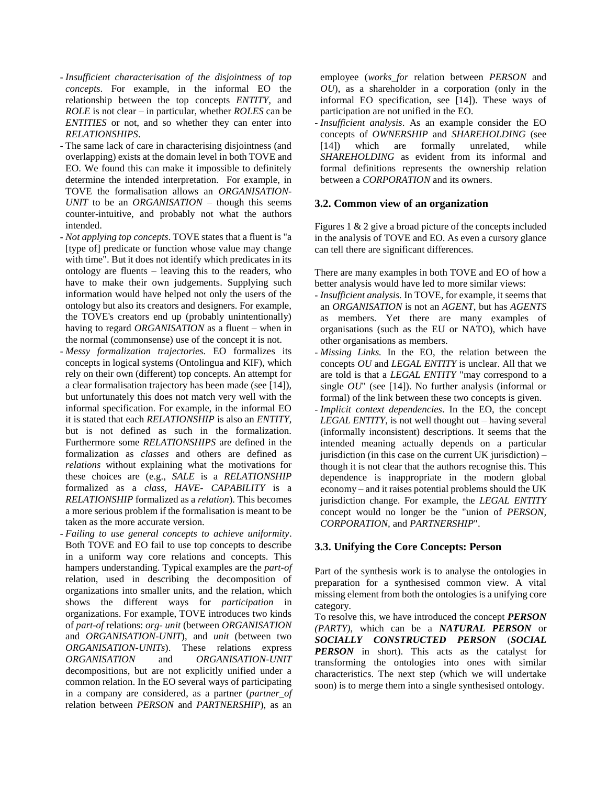- *Insufficient characterisation of the disjointness of top concepts*. For example, in the informal EO the relationship between the top concepts *ENTITY,* and *ROLE* is not clear – in particular, whether *ROLES* can be *ENTITIES* or not, and so whether they can enter into *RELATIONSHIPS*.
- The same lack of care in characterising disjointness (and overlapping) exists at the domain level in both TOVE and EO. We found this can make it impossible to definitely determine the intended interpretation. For example, in TOVE the formalisation allows an *ORGANISATION-UNIT* to be an *ORGANISATION* – though this seems counter-intuitive, and probably not what the authors intended.
- *Not applying top concepts*. TOVE states that a fluent is "a [type of] predicate or function whose value may change with time". But it does not identify which predicates in its ontology are fluents – leaving this to the readers, who have to make their own judgements. Supplying such information would have helped not only the users of the ontology but also its creators and designers. For example, the TOVE's creators end up (probably unintentionally) having to regard *ORGANISATION* as a fluent – when in the normal (commonsense) use of the concept it is not.
- *Messy formalization trajectories.* EO formalizes its concepts in logical systems (Ontolingua and KIF), which rely on their own (different) top concepts. An attempt for a clear formalisation trajectory has been made (see [14]), but unfortunately this does not match very well with the informal specification. For example, in the informal EO it is stated that each *RELATIONSHIP* is also an *ENTITY*, but is not defined as such in the formalization. Furthermore some *RELATIONSHIPS* are defined in the formalization as *classes* and others are defined as *relations* without explaining what the motivations for these choices are (e.g., *SALE* is a *RELATIONSHIP* formalized as a *class*, *HAVE- CAPABILITY* is a *RELATIONSHIP* formalized as a *relation*). This becomes a more serious problem if the formalisation is meant to be taken as the more accurate version.
- *Failing to use general concepts to achieve uniformity*. Both TOVE and EO fail to use top concepts to describe in a uniform way core relations and concepts. This hampers understanding. Typical examples are the *part-of* relation, used in describing the decomposition of organizations into smaller units, and the relation, which shows the different ways for *participation* in organizations. For example, TOVE introduces two kinds of *part-of* relations: *org- unit* (between *ORGANISATION* and *ORGANISATION-UNIT*), and *unit* (between two *ORGANISATION-UNITs*). These relations express *ORGANISATION* and *ORGANISATION-UNIT* decompositions, but are not explicitly unified under a common relation. In the EO several ways of participating in a company are considered, as a partner (*partner\_of* relation between *PERSON* and *PARTNERSHIP*), as an

employee (*works\_for* relation between *PERSON* and *OU*), as a shareholder in a corporation (only in the informal EO specification, see [14]). These ways of participation are not unified in the EO.

- *Insufficient analysis*. As an example consider the EO concepts of *OWNERSHIP* and *SHAREHOLDING* (see [14]) which are formally unrelated, while *SHAREHOLDING* as evident from its informal and formal definitions represents the ownership relation between a *CORPORATION* and its owners.

#### **3.2. Common view of an organization**

Figures 1 & 2 give a broad picture of the concepts included in the analysis of TOVE and EO. As even a cursory glance can tell there are significant differences.

There are many examples in both TOVE and EO of how a better analysis would have led to more similar views:

- *Insufficient analysis.* In TOVE, for example, it seems that an *ORGANISATION* is not an *AGENT*, but has *AGENTS* as members. Yet there are many examples of organisations (such as the EU or NATO), which have other organisations as members.
- *Missing Links.* In the EO, the relation between the concepts *OU* and *LEGAL ENTITY* is unclear. All that we are told is that a *LEGAL ENTITY* "may correspond to a single *OU*" (see [14]). No further analysis (informal or formal) of the link between these two concepts is given.
- *Implicit context dependencies*. In the EO, the concept *LEGAL ENTITY*, is not well thought out – having several (informally inconsistent) descriptions. It seems that the intended meaning actually depends on a particular jurisdiction (in this case on the current UK jurisdiction)  $$ though it is not clear that the authors recognise this. This dependence is inappropriate in the modern global economy – and it raises potential problems should the UK jurisdiction change. For example, the *LEGAL ENTITY* concept would no longer be the "union of *PERSON, CORPORATION,* and *PARTNERSHIP*".

## **3.3. Unifying the Core Concepts: Person**

Part of the synthesis work is to analyse the ontologies in preparation for a synthesised common view. A vital missing element from both the ontologies is a unifying core category.

To resolve this, we have introduced the concept *PERSON (PARTY),* which can be a *NATURAL PERSON* or *SOCIALLY CONSTRUCTED PERSON* (*SOCIAL PERSON* in short). This acts as the catalyst for transforming the ontologies into ones with similar characteristics. The next step (which we will undertake soon) is to merge them into a single synthesised ontology.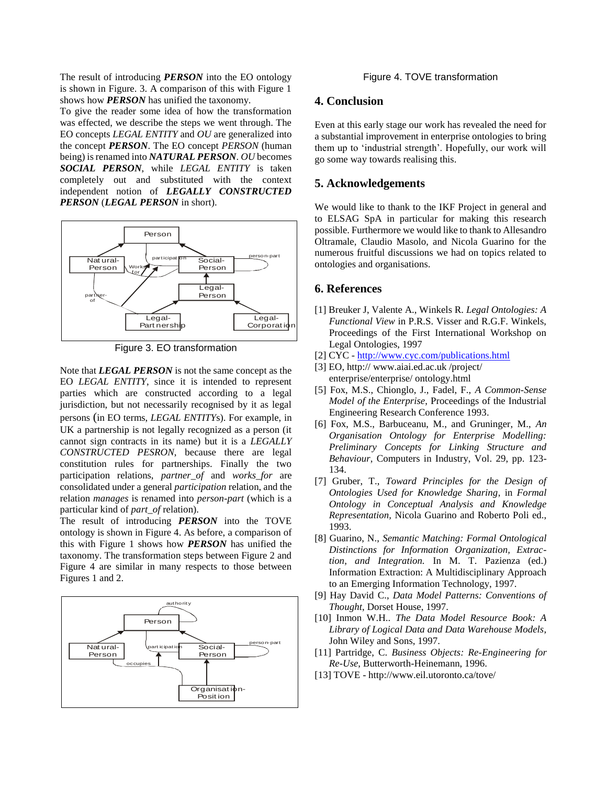The result of introducing *PERSON* into the EO ontology is shown in Figure. 3. A comparison of this with Figure 1 shows how *PERSON* has unified the taxonomy.

To give the reader some idea of how the transformation was effected, we describe the steps we went through. The EO concepts *LEGAL ENTITY* and *OU* are generalized into the concept *PERSON*. The EO concept *PERSON* (human being) is renamed into *NATURAL PERSON*. *OU* becomes *SOCIAL PERSON*, while *LEGAL ENTITY* is taken completely out and substituted with the context independent notion of *LEGALLY CONSTRUCTED PERSON* (*LEGAL PERSON* in short).



Figure 3. EO transformation

Note that *LEGAL PERSON* is not the same concept as the EO *LEGAL ENTITY*, since it is intended to represent parties which are constructed according to a legal jurisdiction, but not necessarily recognised by it as legal persons (in EO terms, *LEGAL ENTITY*s). For example, in UK a partnership is not legally recognized as a person (it cannot sign contracts in its name) but it is a *LEGALLY CONSTRUCTED PESRON*, because there are legal constitution rules for partnerships. Finally the two participation relations, *partner\_of* and *works\_for* are consolidated under a general *participation* relation, and the relation *manages* is renamed into *person-part* (which is a particular kind of *part\_of* relation).

The result of introducing *PERSON* into the TOVE ontology is shown in Figure 4. As before, a comparison of this with Figure 1 shows how *PERSON* has unified the taxonomy. The transformation steps between Figure 2 and Figure 4 are similar in many respects to those between Figures 1 and 2.



## Figure 4. TOVE transformation

## **4. Conclusion**

Even at this early stage our work has revealed the need for a substantial improvement in enterprise ontologies to bring them up to 'industrial strength'. Hopefully, our work will go some way towards realising this.

# **5. Acknowledgements**

We would like to thank to the IKF Project in general and to ELSAG SpA in particular for making this research possible. Furthermore we would like to thank to Allesandro Oltramale, Claudio Masolo, and Nicola Guarino for the numerous fruitful discussions we had on topics related to ontologies and organisations.

## **6. References**

- [1] Breuker J, Valente A., Winkels R. *Legal Ontologies: A Functional View* in P.R.S. Visser and R.G.F. Winkels, Proceedings of the First International Workshop on Legal Ontologies, 1997
- [2] CYC <http://www.cyc.com/publications.html>
- [3] EO, http:// www.aiai.ed.ac.uk /project/ enterprise/enterprise/ ontology.html
- [5] Fox, M.S., Chionglo, J., Fadel, F., *A Common-Sense Model of the Enterprise*, Proceedings of the Industrial Engineering Research Conference 1993.
- [6] Fox, M.S., Barbuceanu, M., and Gruninger, M., *An Organisation Ontology for Enterprise Modelling: Preliminary Concepts for Linking Structure and Behaviour*, Computers in Industry, Vol. 29, pp. 123- 134.
- [7] Gruber, T., *Toward Principles for the Design of Ontologies Used for Knowledge Sharing*, in *Formal Ontology in Conceptual Analysis and Knowledge Representation,* Nicola Guarino and Roberto Poli ed., 1993.
- [8] Guarino, N., *Semantic Matching: Formal Ontological Distinctions for Information Organization, Extraction, and Integration.* In M. T. Pazienza (ed.) Information Extraction: A Multidisciplinary Approach to an Emerging Information Technology, 1997.
- [9] Hay David C., *Data Model Patterns: Conventions of Thought*, Dorset House, 1997.
- [10] Inmon W.H.. *The Data Model Resource Book: A Library of Logical Data and Data Warehouse Models*, John Wiley and Sons, 1997.
- [11] Partridge, C. *Business Objects: Re-Engineering for Re-Use*, Butterworth-Heinemann, 1996.
- [13] TOVE http://www.eil.utoronto.ca/tove/